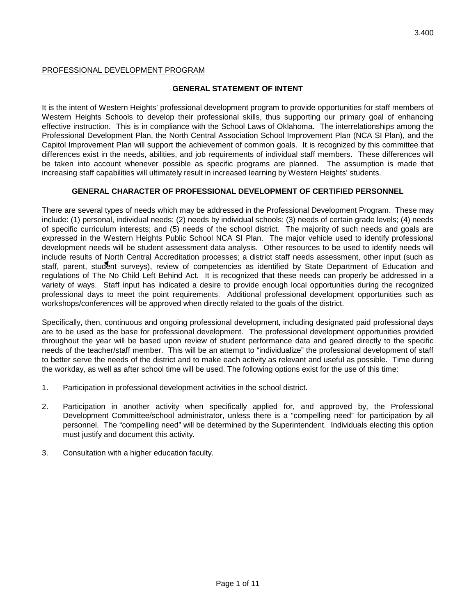#### PROFESSIONAL DEVELOPMENT PROGRAM

#### **GENERAL STATEMENT OF INTENT**

It is the intent of Western Heights' professional development program to provide opportunities for staff members of Western Heights Schools to develop their professional skills, thus supporting our primary goal of enhancing effective instruction. This is in compliance with the School Laws of Oklahoma. The interrelationships among the Professional Development Plan, the North Central Association School Improvement Plan (NCA SI Plan), and the Capitol Improvement Plan will support the achievement of common goals. It is recognized by this committee that differences exist in the needs, abilities, and job requirements of individual staff members. These differences will be taken into account whenever possible as specific programs are planned. The assumption is made that increasing staff capabilities will ultimately result in increased learning by Western Heights' students.

#### **GENERAL CHARACTER OF PROFESSIONAL DEVELOPMENT OF CERTIFIED PERSONNEL**

There are several types of needs which may be addressed in the Professional Development Program. These may include: (1) personal, individual needs; (2) needs by individual schools; (3) needs of certain grade levels; (4) needs of specific curriculum interests; and (5) needs of the school district. The majority of such needs and goals are expressed in the Western Heights Public School NCA SI Plan. The major vehicle used to identify professional development needs will be student assessment data analysis. Other resources to be used to identify needs will include results of North Central Accreditation processes; a district staff needs assessment, other input (such as staff, parent, student surveys), review of competencies as identified by State Department of Education and regulations of The No Child Left Behind Act. It is recognized that these needs can properly be addressed in a variety of ways. Staff input has indicated a desire to provide enough local opportunities during the recognized professional days to meet the point requirements. Additional professional development opportunities such as workshops/conferences will be approved when directly related to the goals of the district.

Specifically, then, continuous and ongoing professional development, including designated paid professional days are to be used as the base for professional development. The professional development opportunities provided throughout the year will be based upon review of student performance data and geared directly to the specific needs of the teacher/staff member. This will be an attempt to "individualize" the professional development of staff to better serve the needs of the district and to make each activity as relevant and useful as possible. Time during the workday, as well as after school time will be used. The following options exist for the use of this time:

- 1. Participation in professional development activities in the school district.
- 2. Participation in another activity when specifically applied for, and approved by, the Professional Development Committee/school administrator, unless there is a "compelling need" for participation by all personnel. The "compelling need" will be determined by the Superintendent. Individuals electing this option must justify and document this activity.
- 3. Consultation with a higher education faculty.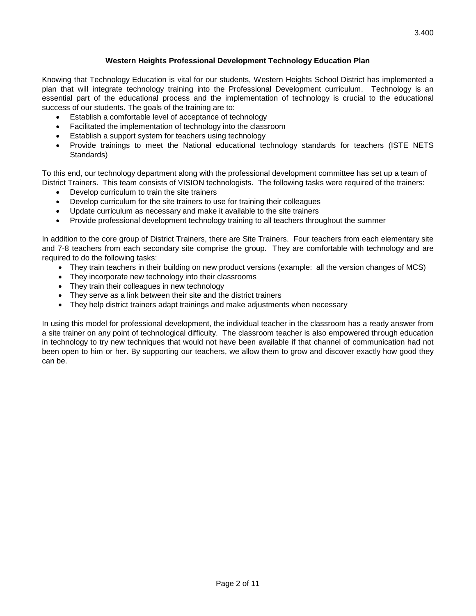## **Western Heights Professional Development Technology Education Plan**

Knowing that Technology Education is vital for our students, Western Heights School District has implemented a plan that will integrate technology training into the Professional Development curriculum. Technology is an essential part of the educational process and the implementation of technology is crucial to the educational success of our students. The goals of the training are to:

- Establish a comfortable level of acceptance of technology
- Facilitated the implementation of technology into the classroom
- Establish a support system for teachers using technology
- Provide trainings to meet the National educational technology standards for teachers (ISTE NETS Standards)

To this end, our technology department along with the professional development committee has set up a team of District Trainers. This team consists of VISION technologists. The following tasks were required of the trainers:

- Develop curriculum to train the site trainers
- Develop curriculum for the site trainers to use for training their colleagues
- Update curriculum as necessary and make it available to the site trainers
- Provide professional development technology training to all teachers throughout the summer

In addition to the core group of District Trainers, there are Site Trainers. Four teachers from each elementary site and 7-8 teachers from each secondary site comprise the group. They are comfortable with technology and are required to do the following tasks:

- They train teachers in their building on new product versions (example: all the version changes of MCS)
- They incorporate new technology into their classrooms
- They train their colleagues in new technology
- They serve as a link between their site and the district trainers
- They help district trainers adapt trainings and make adjustments when necessary

In using this model for professional development, the individual teacher in the classroom has a ready answer from a site trainer on any point of technological difficulty. The classroom teacher is also empowered through education in technology to try new techniques that would not have been available if that channel of communication had not been open to him or her. By supporting our teachers, we allow them to grow and discover exactly how good they can be.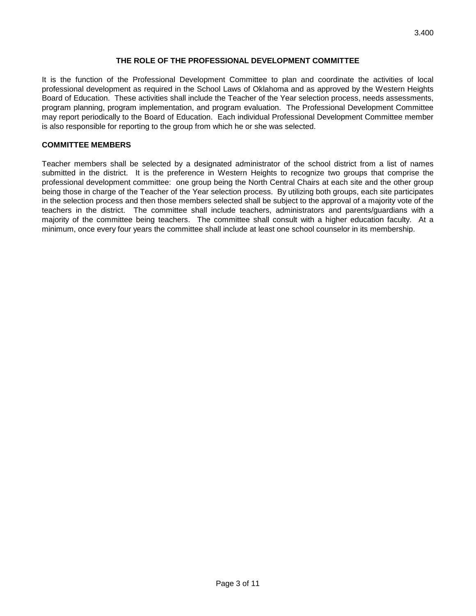#### **THE ROLE OF THE PROFESSIONAL DEVELOPMENT COMMITTEE**

It is the function of the Professional Development Committee to plan and coordinate the activities of local professional development as required in the School Laws of Oklahoma and as approved by the Western Heights Board of Education. These activities shall include the Teacher of the Year selection process, needs assessments, program planning, program implementation, and program evaluation. The Professional Development Committee may report periodically to the Board of Education. Each individual Professional Development Committee member is also responsible for reporting to the group from which he or she was selected.

#### **COMMITTEE MEMBERS**

Teacher members shall be selected by a designated administrator of the school district from a list of names submitted in the district. It is the preference in Western Heights to recognize two groups that comprise the professional development committee: one group being the North Central Chairs at each site and the other group being those in charge of the Teacher of the Year selection process. By utilizing both groups, each site participates in the selection process and then those members selected shall be subject to the approval of a majority vote of the teachers in the district. The committee shall include teachers, administrators and parents/guardians with a majority of the committee being teachers. The committee shall consult with a higher education faculty. At a minimum, once every four years the committee shall include at least one school counselor in its membership.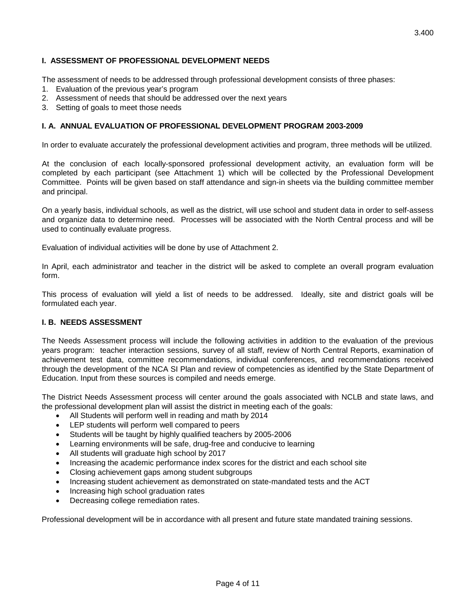The assessment of needs to be addressed through professional development consists of three phases:

- 1. Evaluation of the previous year's program
- 2. Assessment of needs that should be addressed over the next years

**I. ASSESSMENT OF PROFESSIONAL DEVELOPMENT NEEDS**

3. Setting of goals to meet those needs

#### **I. A. ANNUAL EVALUATION OF PROFESSIONAL DEVELOPMENT PROGRAM 2003-2009**

In order to evaluate accurately the professional development activities and program, three methods will be utilized.

At the conclusion of each locally-sponsored professional development activity, an evaluation form will be completed by each participant (see Attachment 1) which will be collected by the Professional Development Committee. Points will be given based on staff attendance and sign-in sheets via the building committee member and principal.

On a yearly basis, individual schools, as well as the district, will use school and student data in order to self-assess and organize data to determine need. Processes will be associated with the North Central process and will be used to continually evaluate progress.

Evaluation of individual activities will be done by use of Attachment 2.

In April, each administrator and teacher in the district will be asked to complete an overall program evaluation form.

This process of evaluation will yield a list of needs to be addressed. Ideally, site and district goals will be formulated each year.

#### **I. B. NEEDS ASSESSMENT**

The Needs Assessment process will include the following activities in addition to the evaluation of the previous years program: teacher interaction sessions, survey of all staff, review of North Central Reports, examination of achievement test data, committee recommendations, individual conferences, and recommendations received through the development of the NCA SI Plan and review of competencies as identified by the State Department of Education. Input from these sources is compiled and needs emerge.

The District Needs Assessment process will center around the goals associated with NCLB and state laws, and the professional development plan will assist the district in meeting each of the goals:

- All Students will perform well in reading and math by 2014
- LEP students will perform well compared to peers
- Students will be taught by highly qualified teachers by 2005-2006
- Learning environments will be safe, drug-free and conducive to learning
- All students will graduate high school by 2017
- Increasing the academic performance index scores for the district and each school site
- Closing achievement gaps among student subgroups
- Increasing student achievement as demonstrated on state-mandated tests and the ACT
- Increasing high school graduation rates
- Decreasing college remediation rates.

Professional development will be in accordance with all present and future state mandated training sessions.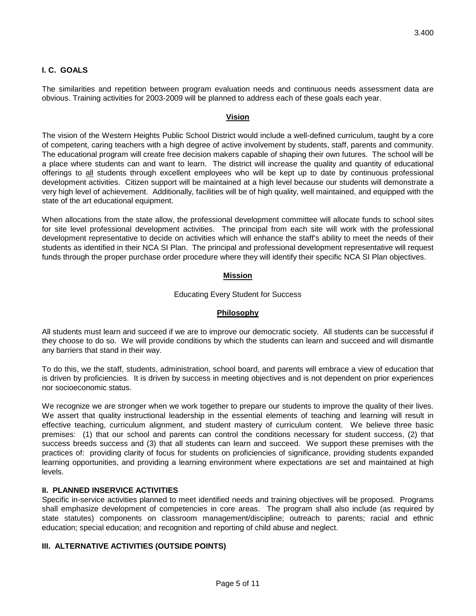# **I. C. GOALS**

The similarities and repetition between program evaluation needs and continuous needs assessment data are obvious. Training activities for 2003-2009 will be planned to address each of these goals each year.

#### **Vision**

The vision of the Western Heights Public School District would include a well-defined curriculum, taught by a core of competent, caring teachers with a high degree of active involvement by students, staff, parents and community. The educational program will create free decision makers capable of shaping their own futures. The school will be a place where students can and want to learn. The district will increase the quality and quantity of educational offerings to all students through excellent employees who will be kept up to date by continuous professional development activities. Citizen support will be maintained at a high level because our students will demonstrate a very high level of achievement. Additionally, facilities will be of high quality, well maintained, and equipped with the state of the art educational equipment.

When allocations from the state allow, the professional development committee will allocate funds to school sites for site level professional development activities. The principal from each site will work with the professional development representative to decide on activities which will enhance the staff's ability to meet the needs of their students as identified in their NCA SI Plan. The principal and professional development representative will request funds through the proper purchase order procedure where they will identify their specific NCA SI Plan objectives.

## **Mission**

#### Educating Every Student for Success

## **Philosophy**

All students must learn and succeed if we are to improve our democratic society. All students can be successful if they choose to do so. We will provide conditions by which the students can learn and succeed and will dismantle any barriers that stand in their way.

To do this, we the staff, students, administration, school board, and parents will embrace a view of education that is driven by proficiencies. It is driven by success in meeting objectives and is not dependent on prior experiences nor socioeconomic status.

We recognize we are stronger when we work together to prepare our students to improve the quality of their lives. We assert that quality instructional leadership in the essential elements of teaching and learning will result in effective teaching, curriculum alignment, and student mastery of curriculum content. We believe three basic premises: (1) that our school and parents can control the conditions necessary for student success, (2) that success breeds success and (3) that all students can learn and succeed. We support these premises with the practices of: providing clarity of focus for students on proficiencies of significance, providing students expanded learning opportunities, and providing a learning environment where expectations are set and maintained at high levels.

#### **II. PLANNED INSERVICE ACTIVITIES**

Specific in-service activities planned to meet identified needs and training objectives will be proposed. Programs shall emphasize development of competencies in core areas. The program shall also include (as required by state statutes) components on classroom management/discipline; outreach to parents; racial and ethnic education; special education; and recognition and reporting of child abuse and neglect.

## **III. ALTERNATIVE ACTIVITIES (OUTSIDE POINTS)**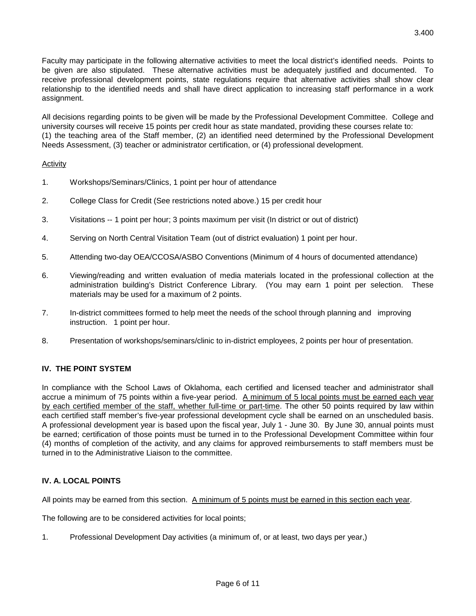Faculty may participate in the following alternative activities to meet the local district's identified needs. Points to be given are also stipulated. These alternative activities must be adequately justified and documented. To receive professional development points, state regulations require that alternative activities shall show clear relationship to the identified needs and shall have direct application to increasing staff performance in a work assignment.

All decisions regarding points to be given will be made by the Professional Development Committee. College and university courses will receive 15 points per credit hour as state mandated, providing these courses relate to: (1) the teaching area of the Staff member, (2) an identified need determined by the Professional Development Needs Assessment, (3) teacher or administrator certification, or (4) professional development.

## Activity

- 1. Workshops/Seminars/Clinics, 1 point per hour of attendance
- 2. College Class for Credit (See restrictions noted above.) 15 per credit hour
- 3. Visitations -- 1 point per hour; 3 points maximum per visit (In district or out of district)
- 4. Serving on North Central Visitation Team (out of district evaluation) 1 point per hour.
- 5. Attending two-day OEA/CCOSA/ASBO Conventions (Minimum of 4 hours of documented attendance)
- 6. Viewing/reading and written evaluation of media materials located in the professional collection at the administration building's District Conference Library. (You may earn 1 point per selection. These materials may be used for a maximum of 2 points.
- 7. In-district committees formed to help meet the needs of the school through planning and improving instruction. 1 point per hour.
- 8. Presentation of workshops/seminars/clinic to in-district employees, 2 points per hour of presentation.

## **IV. THE POINT SYSTEM**

In compliance with the School Laws of Oklahoma, each certified and licensed teacher and administrator shall accrue a minimum of 75 points within a five-year period. A minimum of 5 local points must be earned each year by each certified member of the staff, whether full-time or part-time. The other 50 points required by law within each certified staff member's five-year professional development cycle shall be earned on an unscheduled basis. A professional development year is based upon the fiscal year, July 1 - June 30. By June 30, annual points must be earned; certification of those points must be turned in to the Professional Development Committee within four (4) months of completion of the activity, and any claims for approved reimbursements to staff members must be turned in to the Administrative Liaison to the committee.

## **IV. A. LOCAL POINTS**

All points may be earned from this section. A minimum of 5 points must be earned in this section each year.

The following are to be considered activities for local points;

1. Professional Development Day activities (a minimum of, or at least, two days per year,)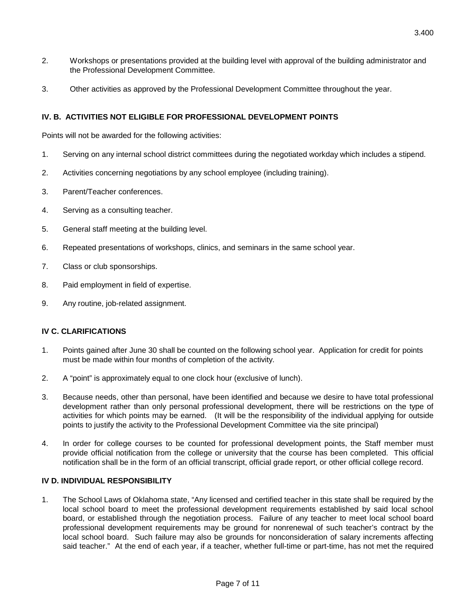- 2. Workshops or presentations provided at the building level with approval of the building administrator and the Professional Development Committee.
- 3. Other activities as approved by the Professional Development Committee throughout the year.

## **IV. B. ACTIVITIES NOT ELIGIBLE FOR PROFESSIONAL DEVELOPMENT POINTS**

Points will not be awarded for the following activities:

- 1. Serving on any internal school district committees during the negotiated workday which includes a stipend.
- 2. Activities concerning negotiations by any school employee (including training).
- 3. Parent/Teacher conferences.
- 4. Serving as a consulting teacher.
- 5. General staff meeting at the building level.
- 6. Repeated presentations of workshops, clinics, and seminars in the same school year.
- 7. Class or club sponsorships.
- 8. Paid employment in field of expertise.
- 9. Any routine, job-related assignment.

## **IV C. CLARIFICATIONS**

- 1. Points gained after June 30 shall be counted on the following school year. Application for credit for points must be made within four months of completion of the activity.
- 2. A "point" is approximately equal to one clock hour (exclusive of lunch).
- 3. Because needs, other than personal, have been identified and because we desire to have total professional development rather than only personal professional development, there will be restrictions on the type of activities for which points may be earned. (It will be the responsibility of the individual applying for outside points to justify the activity to the Professional Development Committee via the site principal)
- 4. In order for college courses to be counted for professional development points, the Staff member must provide official notification from the college or university that the course has been completed. This official notification shall be in the form of an official transcript, official grade report, or other official college record.

## **IV D. INDIVIDUAL RESPONSIBILITY**

1. The School Laws of Oklahoma state, "Any licensed and certified teacher in this state shall be required by the local school board to meet the professional development requirements established by said local school board, or established through the negotiation process. Failure of any teacher to meet local school board professional development requirements may be ground for nonrenewal of such teacher's contract by the local school board. Such failure may also be grounds for nonconsideration of salary increments affecting said teacher." At the end of each year, if a teacher, whether full-time or part-time, has not met the required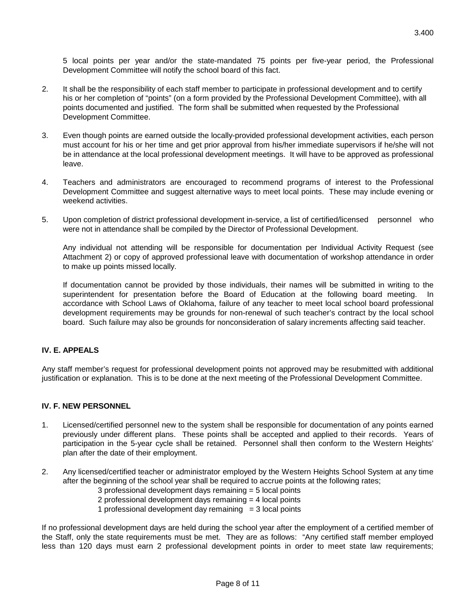5 local points per year and/or the state-mandated 75 points per five-year period, the Professional Development Committee will notify the school board of this fact.

- 2. It shall be the responsibility of each staff member to participate in professional development and to certify his or her completion of "points" (on a form provided by the Professional Development Committee), with all points documented and justified. The form shall be submitted when requested by the Professional Development Committee.
- 3. Even though points are earned outside the locally-provided professional development activities, each person must account for his or her time and get prior approval from his/her immediate supervisors if he/she will not be in attendance at the local professional development meetings. It will have to be approved as professional leave.
- 4. Teachers and administrators are encouraged to recommend programs of interest to the Professional Development Committee and suggest alternative ways to meet local points. These may include evening or weekend activities.
- 5. Upon completion of district professional development in-service, a list of certified/licensed personnel who were not in attendance shall be compiled by the Director of Professional Development.

Any individual not attending will be responsible for documentation per Individual Activity Request (see Attachment 2) or copy of approved professional leave with documentation of workshop attendance in order to make up points missed locally.

If documentation cannot be provided by those individuals, their names will be submitted in writing to the superintendent for presentation before the Board of Education at the following board meeting. In accordance with School Laws of Oklahoma, failure of any teacher to meet local school board professional development requirements may be grounds for non-renewal of such teacher's contract by the local school board. Such failure may also be grounds for nonconsideration of salary increments affecting said teacher.

## **IV. E. APPEALS**

Any staff member's request for professional development points not approved may be resubmitted with additional justification or explanation. This is to be done at the next meeting of the Professional Development Committee.

#### **IV. F. NEW PERSONNEL**

- 1. Licensed/certified personnel new to the system shall be responsible for documentation of any points earned previously under different plans. These points shall be accepted and applied to their records. Years of participation in the 5-year cycle shall be retained. Personnel shall then conform to the Western Heights' plan after the date of their employment.
- 2. Any licensed/certified teacher or administrator employed by the Western Heights School System at any time after the beginning of the school year shall be required to accrue points at the following rates;
	- 3 professional development days remaining = 5 local points
	- 2 professional development days remaining = 4 local points
	- 1 professional development day remaining  $=$  3 local points

If no professional development days are held during the school year after the employment of a certified member of the Staff, only the state requirements must be met. They are as follows: "Any certified staff member employed less than 120 days must earn 2 professional development points in order to meet state law requirements;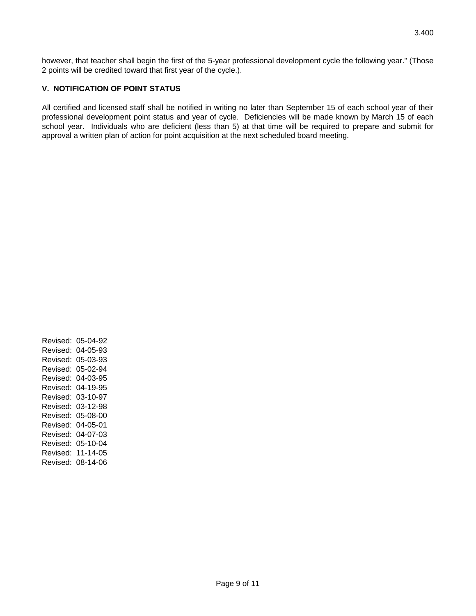however, that teacher shall begin the first of the 5-year professional development cycle the following year." (Those 2 points will be credited toward that first year of the cycle.).

# **V. NOTIFICATION OF POINT STATUS**

All certified and licensed staff shall be notified in writing no later than September 15 of each school year of their professional development point status and year of cycle. Deficiencies will be made known by March 15 of each school year. Individuals who are deficient (less than 5) at that time will be required to prepare and submit for approval a written plan of action for point acquisition at the next scheduled board meeting.

Revised: 05-04-92 Revised: 04-05-93 Revised: 05-03-93 Revised: 05-02-94 Revised: 04-03-95 Revised: 04-19-95 Revised: 03-10-97 Revised: 03-12-98 Revised: 05-08-00 Revised: 04-05-01 Revised: 04-07-03 Revised: 05-10-04 Revised: 11-14-05 Revised: 08-14-06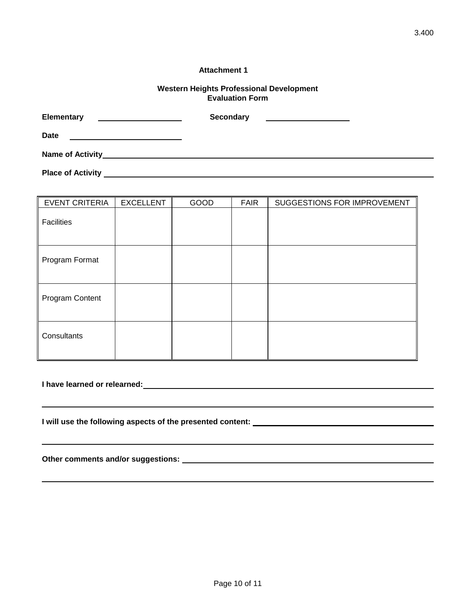#### **Attachment 1**

#### **Western Heights Professional Development Evaluation Form**

| <b>Elementary</b>                                                                                                                                | <b>Secondary</b> |  |
|--------------------------------------------------------------------------------------------------------------------------------------------------|------------------|--|
| Date<br><u> 1989 - Johann Stoff, Amerikaansk politiker († 1908)</u>                                                                              |                  |  |
| <b>Name of Activity</b><br><u> 1989 - Johann Stoff, deutscher Stoff, der Stoff, der Stoff, der Stoff, der Stoff, der Stoff, der Stoff, der S</u> |                  |  |
| <b>Place of Activity</b>                                                                                                                         |                  |  |

| <b>EVENT CRITERIA</b> | <b>EXCELLENT</b> | GOOD | <b>FAIR</b> | SUGGESTIONS FOR IMPROVEMENT |
|-----------------------|------------------|------|-------------|-----------------------------|
| Facilities            |                  |      |             |                             |
| Program Format        |                  |      |             |                             |
| Program Content       |                  |      |             |                             |
| Consultants           |                  |      |             |                             |

|  |  |  | I have learned or relearned: |  |
|--|--|--|------------------------------|--|
|--|--|--|------------------------------|--|

**I will use the following aspects of the presented content:** 

**Other comments and/or suggestions:**